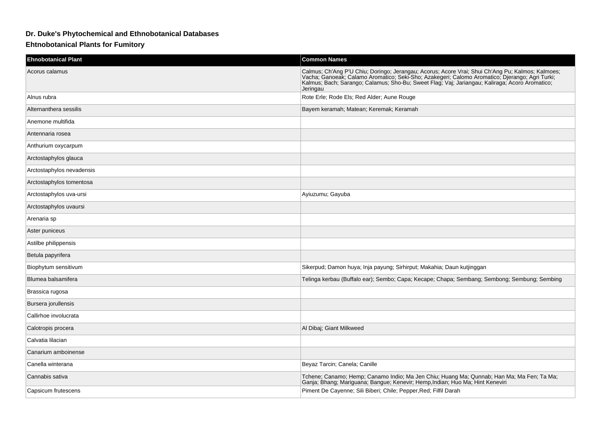## **Dr. Duke's Phytochemical and Ethnobotanical Databases**

## **Ehtnobotanical Plants for Fumitory**

| <b>Ehnobotanical Plant</b> | <b>Common Names</b>                                                                                                                                                                                                                              |
|----------------------------|--------------------------------------------------------------------------------------------------------------------------------------------------------------------------------------------------------------------------------------------------|
| Acorus calamus             | Calmus; Ch'Ang P'U Chiu; Doringo; Jerangau; Acorus; Acore Vrai; Shui Ch'Ang Pu; Kalmos; Kalmoes;<br>Vacha; Ganoeak; Calamo Aromatico; Seki-Sho; Azakegeri; Calomo Aromatico; Djerango; Agri Turki;<br>Kalmus; Bach; Sarango; Calamus<br>Jeringau |
| Alnus rubra                | Rote Erle; Rode Els; Red Alder; Aune Rouge                                                                                                                                                                                                       |
| Alternanthera sessilis     | Bayem keramah; Matean; Keremak; Keramah                                                                                                                                                                                                          |
| Anemone multifida          |                                                                                                                                                                                                                                                  |
| Antennaria rosea           |                                                                                                                                                                                                                                                  |
| Anthurium oxycarpum        |                                                                                                                                                                                                                                                  |
| Arctostaphylos glauca      |                                                                                                                                                                                                                                                  |
| Arctostaphylos nevadensis  |                                                                                                                                                                                                                                                  |
| Arctostaphylos tomentosa   |                                                                                                                                                                                                                                                  |
| Arctostaphylos uva-ursi    | Ayiuzumu; Gayuba                                                                                                                                                                                                                                 |
| Arctostaphylos uvaursi     |                                                                                                                                                                                                                                                  |
| Arenaria sp                |                                                                                                                                                                                                                                                  |
| Aster puniceus             |                                                                                                                                                                                                                                                  |
| Astilbe philippensis       |                                                                                                                                                                                                                                                  |
| Betula papyrifera          |                                                                                                                                                                                                                                                  |
| Biophytum sensitivum       | Sikerpud; Damon huya; Inja payung; Sirhirput; Makahia; Daun kutjinggan                                                                                                                                                                           |
| Blumea balsamifera         | Telinga kerbau (Buffalo ear); Sembo; Capa; Kecape; Chapa; Sembang; Sembong; Sembung; Sembing                                                                                                                                                     |
| Brassica rugosa            |                                                                                                                                                                                                                                                  |
| Bursera jorullensis        |                                                                                                                                                                                                                                                  |
| Callirhoe involucrata      |                                                                                                                                                                                                                                                  |
| Calotropis procera         | Al Dibaj; Giant Milkweed                                                                                                                                                                                                                         |
| Calvatia lilacian          |                                                                                                                                                                                                                                                  |
| Canarium amboinense        |                                                                                                                                                                                                                                                  |
| Canella winterana          | Beyaz Tarcin; Canela; Canille                                                                                                                                                                                                                    |
| Cannabis sativa            | Tchene; Canamo; Hemp; Canamo Indio; Ma Jen Chiu; Huang Ma; Qunnab; Han Ma; Ma Fen; Ta Ma;<br>Ganja; Bhang; Mariguana; Bangue; Kenevir; Hemp, Indian; Huo Ma; Hint Keneviri                                                                       |
| Capsicum frutescens        | Piment De Cayenne; Sili Biberi; Chile; Pepper, Red; Filfil Darah                                                                                                                                                                                 |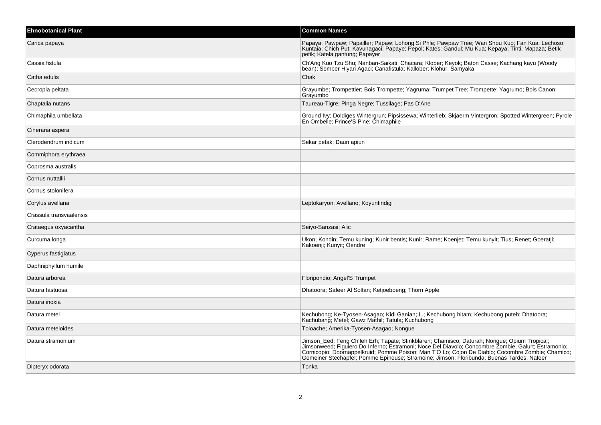| <b>Ehnobotanical Plant</b> | <b>Common Names</b>                                                                                                                                                                                                                                                                                                                                                                                |
|----------------------------|----------------------------------------------------------------------------------------------------------------------------------------------------------------------------------------------------------------------------------------------------------------------------------------------------------------------------------------------------------------------------------------------------|
| Carica papaya              | Papaya; Pawpaw; Papailler; Papaw; Lohong Si Phle; Pawpaw Tree; Wan Shou Kuo; Fan Kua; Lechoso;<br>Kuntaia: Chich Put: Kavunagaci: Papaye: Pepol: Kates: Gandul: Mu Kua: Kepaya: Tinti: Mapaza: Betik<br>petik; Katela gantung; Papayer                                                                                                                                                             |
| Cassia fistula             | Ch'Ang Kuo Tzu Shu; Nanban-Saikati; Chacara; Klober; Keyok; Baton Casse; Kachang kayu (Woody<br>bean), Sember Hiyari Agaci, Canafistula, Kallober, Klohur, Samyaka                                                                                                                                                                                                                                 |
| Catha edulis               | Chak                                                                                                                                                                                                                                                                                                                                                                                               |
| Cecropia peltata           | Grayumbe; Trompettier; Bois Trompette; Yagruma; Trumpet Tree; Trompette; Yagrumo; Bois Canon;<br>Grayumbo                                                                                                                                                                                                                                                                                          |
| Chaptalia nutans           | Taureau-Tigre; Pinga Negre; Tussilage; Pas D'Ane                                                                                                                                                                                                                                                                                                                                                   |
| Chimaphila umbellata       | Ground Ivy; Doldiges Wintergrun; Pipsissewa; Winterlieb; Skjaerm Vintergron; Spotted Wintergreen; Pyrole<br>En Ombelle; Prince'S Pine; Chimaphile                                                                                                                                                                                                                                                  |
| Cineraria aspera           |                                                                                                                                                                                                                                                                                                                                                                                                    |
| Clerodendrum indicum       | Sekar petak; Daun apiun                                                                                                                                                                                                                                                                                                                                                                            |
| Commiphora erythraea       |                                                                                                                                                                                                                                                                                                                                                                                                    |
| Coprosma australis         |                                                                                                                                                                                                                                                                                                                                                                                                    |
| Cornus nuttallii           |                                                                                                                                                                                                                                                                                                                                                                                                    |
| Cornus stolonifera         |                                                                                                                                                                                                                                                                                                                                                                                                    |
| Corylus avellana           | Leptokaryon; Avellano; Koyunfindigi                                                                                                                                                                                                                                                                                                                                                                |
| Crassula transvaalensis    |                                                                                                                                                                                                                                                                                                                                                                                                    |
| Crataegus oxyacantha       | Seiyo-Sanzasi; Alic                                                                                                                                                                                                                                                                                                                                                                                |
| Curcuma longa              | Ukon; Kondin; Temu kuning; Kunir bentis; Kunir; Rame; Koenjet; Temu kunyit; Tius; Renet; Goeratii;<br>Kakoenji; Kunyit; Oendre                                                                                                                                                                                                                                                                     |
| Cyperus fastigiatus        |                                                                                                                                                                                                                                                                                                                                                                                                    |
| Daphniphyllum humile       |                                                                                                                                                                                                                                                                                                                                                                                                    |
| Datura arborea             | Floripondio; Angel'S Trumpet                                                                                                                                                                                                                                                                                                                                                                       |
| Datura fastuosa            | Dhatoora; Safeer Al Soltan; Ketjoeboeng; Thorn Apple                                                                                                                                                                                                                                                                                                                                               |
| Datura inoxia              |                                                                                                                                                                                                                                                                                                                                                                                                    |
| Datura metel               | Kechubong; Ke-Tyosen-Asagao; Kidi Ganian; L.; Kechubong hitam; Kechubong puteh; Dhatoora;<br>Kachubang; Metel; Gawz Mathil; Tatula; Kuchubong                                                                                                                                                                                                                                                      |
| Datura meteloides          | Toloache; Amerika-Tyosen-Asagao; Nongue                                                                                                                                                                                                                                                                                                                                                            |
| Datura stramonium          | Jimson_Eed; Feng Ch'leh Erh; Tapate; Stinkblaren; Chamisco; Daturah; Nongue; Opium Tropical;<br>Jimsonweed; Fiquiero Do Inferno; Estramoni; Noce Del Diavolo; Concombre Zombie; Galurt; Estramonio;<br>Cornicopio; Doornappelkruid; Pomme Poison; Man T'O Lo; Cojon De Diablo; Cocombre Zombie; Chamico; Gemeiner Stechapfel; Pomme Epineuse; Stramoine; Jimson; Floribunda; Buenas Tardes; Nafeer |
| Dipteryx odorata           | Tonka                                                                                                                                                                                                                                                                                                                                                                                              |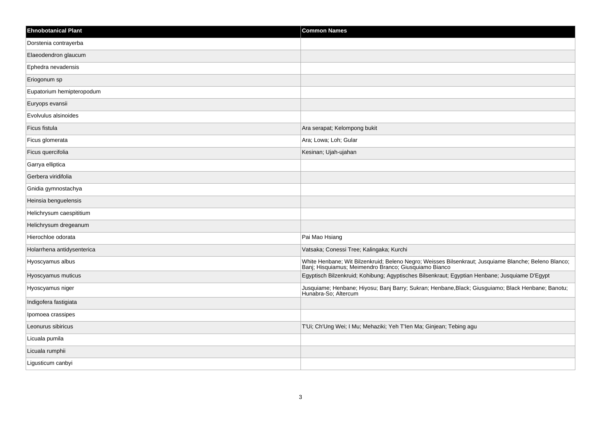| <b>Ehnobotanical Plant</b> | <b>Common Names</b>                                                                                                                      |
|----------------------------|------------------------------------------------------------------------------------------------------------------------------------------|
| Dorstenia contrayerba      |                                                                                                                                          |
| Elaeodendron glaucum       |                                                                                                                                          |
| Ephedra nevadensis         |                                                                                                                                          |
| Eriogonum sp               |                                                                                                                                          |
| Eupatorium hemipteropodum  |                                                                                                                                          |
| Euryops evansii            |                                                                                                                                          |
| Evolvulus alsinoides       |                                                                                                                                          |
| Ficus fistula              | Ara serapat; Kelompong bukit                                                                                                             |
| Ficus glomerata            | Ara; Lowa; Loh; Gular                                                                                                                    |
| Ficus quercifolia          | Kesinan; Ujah-ujahan                                                                                                                     |
| Garrya elliptica           |                                                                                                                                          |
| Gerbera viridifolia        |                                                                                                                                          |
| Gnidia gymnostachya        |                                                                                                                                          |
| Heinsia benguelensis       |                                                                                                                                          |
| Helichrysum caespititium   |                                                                                                                                          |
| Helichrysum dregeanum      |                                                                                                                                          |
| Hierochloe odorata         | Pai Mao Hsiang                                                                                                                           |
| Holarrhena antidysenterica | Vatsaka; Conessi Tree; Kalingaka; Kurchi                                                                                                 |
| Hyoscyamus albus           | White Henbane; Wit Bilzenkruid; Beleno Negro; Weisses Bilsenkraut; Jusquiame Blanche; Beleno Blanco; Banj; Hisquiamus; Meimendro Branco; |
| Hyoscyamus muticus         | Egyptisch Bilzenkruid; Kohibung; Agyptisches Bilsenkraut; Egyptian Henbane; Jusquiame D'Egypt                                            |
| Hyoscyamus niger           | Jusquiame; Henbane; Hiyosu; Banj Barry; Sukran; Henbane,Black; Giusguiamo; Black Henbane; Banotu;<br>Hunabra-So; Altercum                |
| Indigofera fastigiata      |                                                                                                                                          |
| Ipomoea crassipes          |                                                                                                                                          |
| Leonurus sibiricus         | T'Ui; Ch'Ung Wei; I Mu; Mehaziki; Yeh T'len Ma; Ginjean; Tebing agu                                                                      |
| Licuala pumila             |                                                                                                                                          |
| Licuala rumphii            |                                                                                                                                          |
| Ligusticum canbyi          |                                                                                                                                          |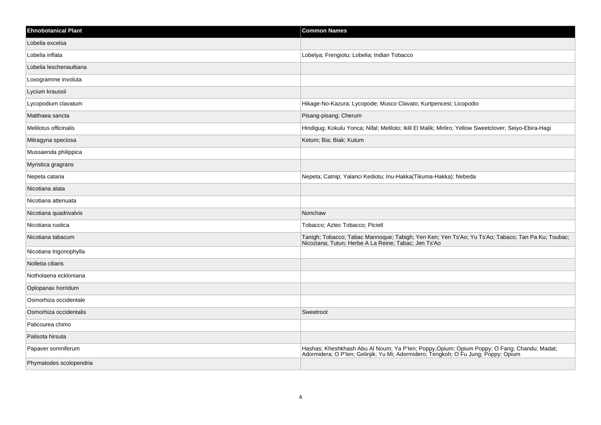| <b>Ehnobotanical Plant</b> | <b>Common Names</b>                                                                                                                                                              |
|----------------------------|----------------------------------------------------------------------------------------------------------------------------------------------------------------------------------|
| Lobelia excelsa            |                                                                                                                                                                                  |
| Lobelia inflata            | Lobelya; Frengiotu; Lobelia; Indian Tobacco                                                                                                                                      |
| Lobelia leschenaultiana    |                                                                                                                                                                                  |
| Loxogramme involuta        |                                                                                                                                                                                  |
| Lycium kraussii            |                                                                                                                                                                                  |
| Lycopodium clavatum        | Hikage-No-Kazura; Lycopode; Musco Clavato; Kurtpencesi; Licopodio                                                                                                                |
| Matthaea sancta            | Pisang-pisang; Cherum                                                                                                                                                            |
| Melilotus officinalis      | Hindigug; Kokulu Yonca; Nifal; Meliloto; Iklil El Malik; Mirliro; Yellow Sweetclover; Seiyo-Ebira-Hagi                                                                           |
| Mitragyna speciosa         | Ketum; Bia; Biak; Kutum                                                                                                                                                          |
| Mussaenda philippica       |                                                                                                                                                                                  |
| Myristica gragrans         |                                                                                                                                                                                  |
| Nepeta cataria             | Nepeta; Catnip; Yalanci Kediotu; Inu-Hakka(Tikuma-Hakka); Nebeda                                                                                                                 |
| Nicotiana alata            |                                                                                                                                                                                  |
| Nicotiana attenuata        |                                                                                                                                                                                  |
| Nicotiana quadrivalvis     | Nonchaw                                                                                                                                                                          |
| Nicotiana rustica          | Tobacco; Aztec Tobacco; Picietl                                                                                                                                                  |
| Nicotiana tabacum          | Tanigh; Tobacco; Tabac Mannoque; Tabigh; Yen Ken; Yen Ts'Ao; Yu Ts'Ao; Tabaco; Tan Pa Ku; Toubac;<br>Nicoziana; Tutun; Herbe A La Reine; Tabac; Jen Ts'Ao                        |
| Nicotiana trigonophylla    |                                                                                                                                                                                  |
| Nolletia ciliaris          |                                                                                                                                                                                  |
| Notholaena eckloniana      |                                                                                                                                                                                  |
| Oplopanax horridum         |                                                                                                                                                                                  |
| Osmorhiza occidentale      |                                                                                                                                                                                  |
| Osmorhiza occidentalis     | Sweetroot                                                                                                                                                                        |
| Palicourea chimo           |                                                                                                                                                                                  |
| Palisota hirsuta           |                                                                                                                                                                                  |
| Papaver somniferum         | Hashas; Kheshkhash Abu Al Noum; Ya P'len; Poppy,Opium; Opium Poppy; O Fang; Chandu; Madat;<br>Adormidera; O P'len; Gelinjik; Yu Mi; Adormidero; Tengkoh; O Fu Jung; Poppy; Opium |
| Phymatodes scolopendria    |                                                                                                                                                                                  |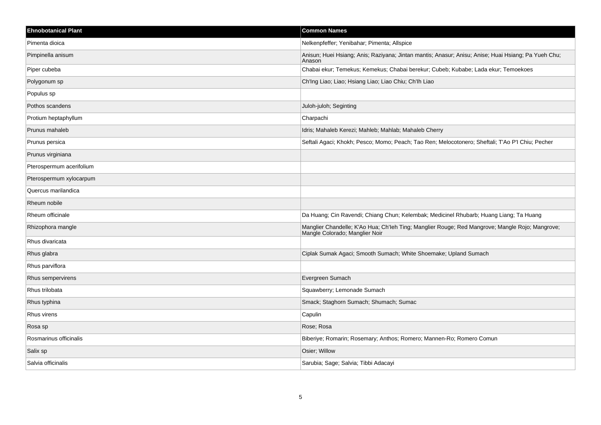| <b>Ehnobotanical Plant</b> | <b>Common Names</b>                                                                                                               |
|----------------------------|-----------------------------------------------------------------------------------------------------------------------------------|
| Pimenta dioica             | Nelkenpfeffer; Yenibahar; Pimenta; Allspice                                                                                       |
| Pimpinella anisum          | Anisun; Huei Hsiang; Anis; Raziyana; Jintan mantis; Anasur; Anisu; Anise; Huai Hsiang; Pa Yueh Chu;<br>Anason                     |
| Piper cubeba               | Chabai ekur; Temekus; Kemekus; Chabai berekur; Cubeb; Kubabe; Lada ekur; Temoekoes                                                |
| Polygonum sp               | Ch'Ing Liao; Liao; Hsiang Liao; Liao Chiu; Ch'Ih Liao                                                                             |
| Populus sp                 |                                                                                                                                   |
| Pothos scandens            | Juloh-juloh; Seginting                                                                                                            |
| Protium heptaphyllum       | Charpachi                                                                                                                         |
| Prunus mahaleb             | Idris; Mahaleb Kerezi; Mahleb; Mahlab; Mahaleb Cherry                                                                             |
| Prunus persica             | Seftali Agaci; Khokh; Pesco; Momo; Peach; Tao Ren; Melocotonero; Sheftali; T'Ao P'l Chiu; Pecher                                  |
| Prunus virginiana          |                                                                                                                                   |
| Pterospermum acerifolium   |                                                                                                                                   |
| Pterospermum xylocarpum    |                                                                                                                                   |
| Quercus marilandica        |                                                                                                                                   |
| Rheum nobile               |                                                                                                                                   |
| Rheum officinale           | Da Huang; Cin Ravendi; Chiang Chun; Kelembak; Medicinel Rhubarb; Huang Liang; Ta Huang                                            |
| Rhizophora mangle          | Manglier Chandelle; K'Ao Hua; Ch'leh Ting; Manglier Rouge; Red Mangrove; Mangle Rojo; Mangrove;<br>Mangle Colorado; Manglier Noir |
| Rhus divaricata            |                                                                                                                                   |
| Rhus glabra                | Ciplak Sumak Agaci; Smooth Sumach; White Shoemake; Upland Sumach                                                                  |
| Rhus parviflora            |                                                                                                                                   |
| Rhus sempervirens          | Evergreen Sumach                                                                                                                  |
| Rhus trilobata             | Squawberry; Lemonade Sumach                                                                                                       |
| Rhus typhina               | Smack; Staghorn Sumach; Shumach; Sumac                                                                                            |
| Rhus virens                | Capulin                                                                                                                           |
| Rosa sp                    | Rose; Rosa                                                                                                                        |
| Rosmarinus officinalis     | Biberiye; Romarin; Rosemary; Anthos; Romero; Mannen-Ro; Romero Comun                                                              |
| Salix sp                   | Osier; Willow                                                                                                                     |
| Salvia officinalis         | Sarubia; Sage; Salvia; Tibbi Adacayi                                                                                              |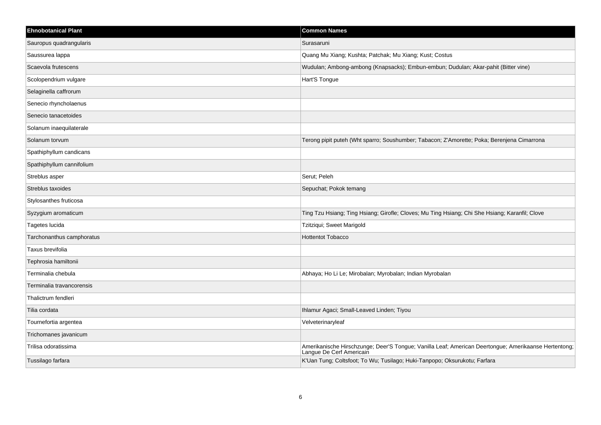| <b>Ehnobotanical Plant</b> | <b>Common Names</b>                                                                                                              |
|----------------------------|----------------------------------------------------------------------------------------------------------------------------------|
| Sauropus quadrangularis    | Surasaruni                                                                                                                       |
| Saussurea lappa            | Quang Mu Xiang; Kushta; Patchak; Mu Xiang; Kust; Costus                                                                          |
| Scaevola frutescens        | Wudulan; Ambong-ambong (Knapsacks); Embun-embun; Dudulan; Akar-pahit (Bitter vine)                                               |
| Scolopendrium vulgare      | Hart'S Tongue                                                                                                                    |
| Selaginella caffrorum      |                                                                                                                                  |
| Senecio rhyncholaenus      |                                                                                                                                  |
| Senecio tanacetoides       |                                                                                                                                  |
| Solanum inaequilaterale    |                                                                                                                                  |
| Solanum torvum             | Terong pipit puteh (Wht sparro; Soushumber; Tabacon; Z'Amorette; Poka; Berenjena Cimarrona                                       |
| Spathiphyllum candicans    |                                                                                                                                  |
| Spathiphyllum cannifolium  |                                                                                                                                  |
| Streblus asper             | Serut; Peleh                                                                                                                     |
| Streblus taxoides          | Sepuchat; Pokok temang                                                                                                           |
| Stylosanthes fruticosa     |                                                                                                                                  |
| Syzygium aromaticum        | Ting Tzu Hsiang; Ting Hsiang; Girofle; Cloves; Mu Ting Hsiang; Chi She Hsiang; Karanfil; Clove                                   |
| Tagetes lucida             | Tzitziqui; Sweet Marigold                                                                                                        |
| Tarchonanthus camphoratus  | <b>Hottentot Tobacco</b>                                                                                                         |
| Taxus brevifolia           |                                                                                                                                  |
| Tephrosia hamiltonii       |                                                                                                                                  |
| Terminalia chebula         | Abhaya; Ho Li Le; Mirobalan; Myrobalan; Indian Myrobalan                                                                         |
| Terminalia travancorensis  |                                                                                                                                  |
| Thalictrum fendleri        |                                                                                                                                  |
| Tilia cordata              | Ihlamur Agaci; Small-Leaved Linden; Tiyou                                                                                        |
| Tournefortia argentea      | Velveterinaryleaf                                                                                                                |
| Trichomanes javanicum      |                                                                                                                                  |
| Trilisa odoratissima       | Amerikanische Hirschzunge; Deer'S Tongue; Vanilla Leaf; American Deertongue; Amerikaanse Hertentong;<br>Langue De Cerf Americain |
| Tussilago farfara          | K'Uan Tung; Coltsfoot; To Wu; Tusilago; Huki-Tanpopo; Oksurukotu; Farfara                                                        |